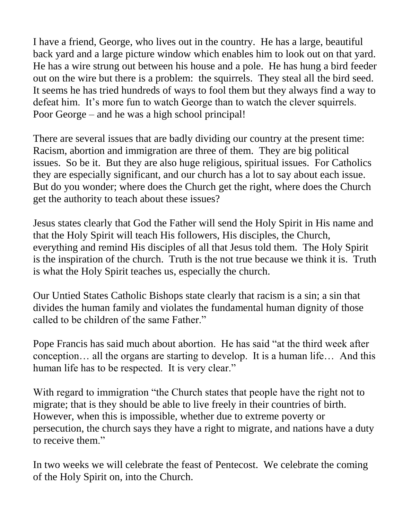I have a friend, George, who lives out in the country. He has a large, beautiful back yard and a large picture window which enables him to look out on that yard. He has a wire strung out between his house and a pole. He has hung a bird feeder out on the wire but there is a problem: the squirrels. They steal all the bird seed. It seems he has tried hundreds of ways to fool them but they always find a way to defeat him. It's more fun to watch George than to watch the clever squirrels. Poor George – and he was a high school principal!

There are several issues that are badly dividing our country at the present time: Racism, abortion and immigration are three of them. They are big political issues. So be it. But they are also huge religious, spiritual issues. For Catholics they are especially significant, and our church has a lot to say about each issue. But do you wonder; where does the Church get the right, where does the Church get the authority to teach about these issues?

Jesus states clearly that God the Father will send the Holy Spirit in His name and that the Holy Spirit will teach His followers, His disciples, the Church, everything and remind His disciples of all that Jesus told them. The Holy Spirit is the inspiration of the church. Truth is the not true because we think it is. Truth is what the Holy Spirit teaches us, especially the church.

Our Untied States Catholic Bishops state clearly that racism is a sin; a sin that divides the human family and violates the fundamental human dignity of those called to be children of the same Father."

Pope Francis has said much about abortion. He has said "at the third week after conception… all the organs are starting to develop. It is a human life… And this human life has to be respected. It is very clear."

With regard to immigration "the Church states that people have the right not to migrate; that is they should be able to live freely in their countries of birth. However, when this is impossible, whether due to extreme poverty or persecution, the church says they have a right to migrate, and nations have a duty to receive them."

In two weeks we will celebrate the feast of Pentecost. We celebrate the coming of the Holy Spirit on, into the Church.